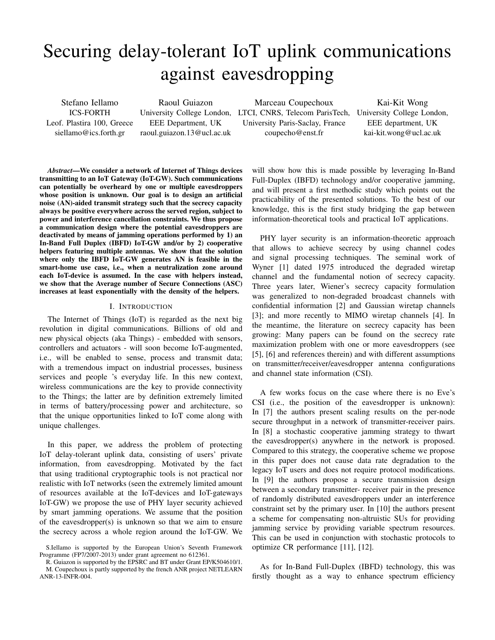# Securing delay-tolerant IoT uplink communications against eavesdropping

Stefano Iellamo ICS-FORTH Leof. Plastira 100, Greece siellamo@ics.forth.gr

Raoul Guiazon EEE Department, UK raoul.guiazon.13@ucl.ac.uk

University College London, LTCI, CNRS, Telecom ParisTech, University College London, Marceau Coupechoux University Paris-Saclay, France coupecho@enst.fr

Kai-Kit Wong EEE department, UK kai-kit.wong@ucl.ac.uk

*Abstract*—We consider a network of Internet of Things devices transmitting to an IoT Gateway (IoT-GW). Such communications can potentially be overheard by one or multiple eavesdroppers whose position is unknown. Our goal is to design an artificial noise (AN)-aided transmit strategy such that the secrecy capacity always be positive everywhere across the served region, subject to power and interference cancellation constraints. We thus propose a communication design where the potential eavesdroppers are deactivated by means of jamming operations performed by 1) an In-Band Full Duplex (IBFD) IoT-GW and/or by 2) cooperative helpers featuring multiple antennas. We show that the solution where only the IBFD IoT-GW generates AN is feasible in the smart-home use case, i.e., when a neutralization zone around each IoT-device is assumed. In the case with helpers instead, we show that the Average number of Secure Connections (ASC) increases at least exponentially with the density of the helpers.

#### I. INTRODUCTION

The Internet of Things (IoT) is regarded as the next big revolution in digital communications. Billions of old and new physical objects (aka Things) - embedded with sensors, controllers and actuators - will soon become IoT-augmented, i.e., will be enabled to sense, process and transmit data; with a tremendous impact on industrial processes, business services and people 's everyday life. In this new context, wireless communications are the key to provide connectivity to the Things; the latter are by definition extremely limited in terms of battery/processing power and architecture, so that the unique opportunities linked to IoT come along with unique challenges.

In this paper, we address the problem of protecting IoT delay-tolerant uplink data, consisting of users' private information, from eavesdropping. Motivated by the fact that using traditional cryptographic tools is not practical nor realistic with IoT networks (seen the extremely limited amount of resources available at the IoT-devices and IoT-gateways IoT-GW) we propose the use of PHY layer security achieved by smart jamming operations. We assume that the position of the eavesdropper(s) is unknown so that we aim to ensure the secrecy across a whole region around the IoT-GW. We

will show how this is made possible by leveraging In-Band Full-Duplex (IBFD) technology and/or cooperative jamming, and will present a first methodic study which points out the practicability of the presented solutions. To the best of our knowledge, this is the first study bridging the gap between information-theoretical tools and practical IoT applications.

PHY layer security is an information-theoretic approach that allows to achieve secrecy by using channel codes and signal processing techniques. The seminal work of Wyner [1] dated 1975 introduced the degraded wiretap channel and the fundamental notion of secrecy capacity. Three years later, Wiener's secrecy capacity formulation was generalized to non-degraded broadcast channels with confidential information [2] and Gaussian wiretap channels [3]; and more recently to MIMO wiretap channels [4]. In the meantime, the literature on secrecy capacity has been growing: Many papers can be found on the secrecy rate maximization problem with one or more eavesdroppers (see [5], [6] and references therein) and with different assumptions on transmitter/receiver/eavesdropper antenna configurations and channel state information (CSI).

A few works focus on the case where there is no Eve's CSI (i.e., the position of the eavesdropper is unknown): In [7] the authors present scaling results on the per-node secure throughput in a network of transmitter-receiver pairs. In [8] a stochastic cooperative jamming strategy to thwart the eavesdropper(s) anywhere in the network is proposed. Compared to this strategy, the cooperative scheme we propose in this paper does not cause data rate degradation to the legacy IoT users and does not require protocol modifications. In [9] the authors propose a secure transmission design between a secondary transmitter- receiver pair in the presence of randomly distributed eavesdroppers under an interference constraint set by the primary user. In [10] the authors present a scheme for compensating non-altruistic SUs for providing jamming service by providing variable spectrum resources. This can be used in conjunction with stochastic protocols to optimize CR performance [11], [12].

As for In-Band Full-Duplex (IBFD) technology, this was firstly thought as a way to enhance spectrum efficiency

S.Iellamo is supported by the European Union's Seventh Framework Programme (FP7/2007-2013) under grant agreement no 612361.

R. Guiazon is supported by the EPSRC and BT under Grant EP/K504610/1. M. Coupechoux is partly supported by the french ANR project NETLEARN ANR-13-INFR-004.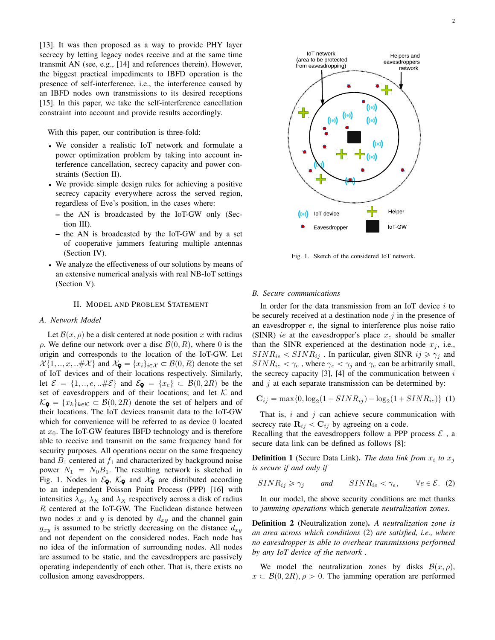[13]. It was then proposed as a way to provide PHY layer secrecy by letting legacy nodes receive and at the same time transmit AN (see, e.g., [14] and references therein). However, the biggest practical impediments to IBFD operation is the presence of self-interference, i.e., the interference caused by an IBFD nodes own transmissions to its desired receptions [15]. In this paper, we take the self-interference cancellation constraint into account and provide results accordingly.

With this paper, our contribution is three-fold:

- ' We consider a realistic IoT network and formulate a power optimization problem by taking into account interference cancellation, secrecy capacity and power constraints (Section II).
- ' We provide simple design rules for achieving a positive secrecy capacity everywhere across the served region, regardless of Eve's position, in the cases where:
	- the AN is broadcasted by the IoT-GW only (Section III).
	- the AN is broadcasted by the IoT-GW and by a set of cooperative jammers featuring multiple antennas (Section IV).
- ' We analyze the effectiveness of our solutions by means of an extensive numerical analysis with real NB-IoT settings (Section V).

## II. MODEL AND PROBLEM STATEMENT

# *A. Network Model*

Let  $\mathcal{B}(x, \rho)$  be a disk centered at node position x with radius  $ρ$ . We define our network over a disc  $\mathcal{B}(0, R)$ , where 0 is the origin and corresponds to the location of the IoT-GW. Let  $\mathcal{X}{1, ..., x, ...\#\mathcal{X}}$  and  $\mathcal{X}_{\mathbf{Q}} = \{x_i\}_{i \in \mathcal{X}} \subset \mathcal{B}(0, R)$  denote the set of IoT devices and of their locations respectively. Similarly, let  $\mathcal{E} = \{1, ..., e, ...\#\mathcal{E}\}\$ and  $\mathcal{E}_{\mathbf{Q}} = \{x_e\} \subset \mathcal{B}(0, 2R)$  be the set of eavesdroppers and of their locations; and let  $K$  and  $K_{\mathbf{Q}} = \{x_k\}_{k \in \mathcal{K}} \subset \mathcal{B}(0, 2R)$  denote the set of helpers and of their locations. The IoT devices transmit data to the IoT-GW which for convenience will be referred to as device 0 located at  $x_0$ . The IoT-GW features IBFD technology and is therefore able to receive and transmit on the same frequency band for security purposes. All operations occur on the same frequency band  $B_1$  centered at  $f_1$  and characterized by background noise power  $N_1 = N_0B_1$ . The resulting network is sketched in Fig. 1. Nodes in  $\mathcal{E}_{\mathbf{Q}}$ ,  $\mathcal{K}_{\mathbf{Q}}$  and  $\mathcal{X}_{\mathbf{Q}}$  are distributed according to an independent Poisson Point Process (PPP) [16] with intensities  $\lambda_E$ ,  $\lambda_K$  and  $\lambda_X$  respectively across a disk of radius R centered at the IoT-GW. The Euclidean distance between two nodes x and y is denoted by  $d_{xy}$  and the channel gain  $g_{xy}$  is assumed to be strictly decreasing on the distance  $d_{xy}$ and not dependent on the considered nodes. Each node has no idea of the information of surrounding nodes. All nodes are assumed to be static, and the eavesdroppers are passively operating independently of each other. That is, there exists no collusion among eavesdroppers.



Fig. 1. Sketch of the considered IoT network.

## *B. Secure communications*

In order for the data transmission from an IoT device  $i$  to be securely received at a destination node  $j$  in the presence of an eavesdropper e, the signal to interference plus noise ratio (SINR) *ie* at the eavesdropper's place  $x_e$  should be smaller than the SINR experienced at the destination node  $x_j$ , i.e.,  $SINR_{ie} < SINR_{ij}$ . In particular, given SINR  $ij \ge \gamma_j$  and  $SINR_{ie} < \gamma_e$ , where  $\gamma_e < \gamma_j$  and  $\gamma_e$  can be arbitrarily small, the secrecy capacity  $[3]$ ,  $[4]$  of the communication between i and  $j$  at each separate transmission can be determined by:

$$
C_{ij} = \max\{0, \log_2(1 + SINR_{ij}) - \log_2(1 + SINR_{ie})\} (1)
$$

That is,  $i$  and  $j$  can achieve secure communication with secrecy rate  $\mathbf{R}_{ij} < \mathbf{C}_{ij}$  by agreeing on a code.

Recalling that the eavesdroppers follow a PPP process  $\mathcal{E}$ , a secure data link can be defined as follows [8]:

**Definition 1** (Secure Data Link). The data link from  $x_i$  to  $x_j$ *is secure if and only if*

$$
SINR_{ij} \ge \gamma_j \qquad and \qquad SINR_{ie} < \gamma_e, \qquad \forall e \in \mathcal{E}. \tag{2}
$$

In our model, the above security conditions are met thanks to *jamming operations* which generate *neutralization zones*.

Definition 2 (Neutralization zone). *A neutralization zone is an area across which conditions* (2) *are satisfied, i.e., where no eavesdropper is able to overhear transmissions performed by any IoT device of the network .*

We model the neutralization zones by disks  $\mathcal{B}(x, \rho)$ ,  $x \text{ }\in \mathcal{B}(0, 2R), \rho > 0$ . The jamming operation are performed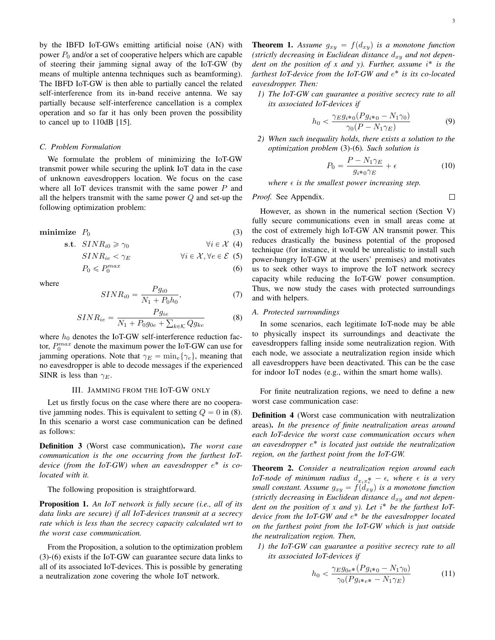by the IBFD IoT-GWs emitting artificial noise (AN) with power  $P_0$  and/or a set of cooperative helpers which are capable of steering their jamming signal away of the IoT-GW (by means of multiple antenna techniques such as beamforming). The IBFD IoT-GW is then able to partially cancel the related self-interference from its in-band receive antenna. We say partially because self-interference cancellation is a complex operation and so far it has only been proven the possibility to cancel up to 110dB [15].

# *C. Problem Formulation*

We formulate the problem of minimizing the IoT-GW transmit power while securing the uplink IoT data in the case of unknown eavesdroppers location. We focus on the case where all IoT devices transmit with the same power  $P$  and all the helpers transmit with the same power  $Q$  and set-up the following optimization problem:

$$
minimize P0 \tag{3}
$$

$$
\text{s.t. } \quad \text{SINR}_{i0} \geq \gamma_0 \qquad \qquad \forall i \in \mathcal{X} \tag{4}
$$

$$
SINR_{ie} < \gamma_E \qquad \qquad \forall i \in \mathcal{X}, \forall e \in \mathcal{E} \tag{5}
$$

$$
P_0 \leqslant P_0^{max} \tag{6}
$$

where

$$
SINR_{i0} = \frac{Pg_{i0}}{N_1 + P_0 h_0},\tag{7}
$$

$$
SINR_{ie} = \frac{Pg_{ie}}{N_1 + P_0g_{0e} + \sum_{k \in \mathcal{K}} Qg_{ke}} \tag{8}
$$

where  $h_0$  denotes the IoT-GW self-interference reduction factor,  $P_0^{max}$  denote the maximum power the IoT-GW can use for jamming operations. Note that  $\gamma_E = \min_e {\gamma_e}$ , meaning that no eavesdropper is able to decode messages if the experienced SINR is less than  $\gamma_E$ .

## III. JAMMING FROM THE IOT-GW ONLY

Let us firstly focus on the case where there are no cooperative jamming nodes. This is equivalent to setting  $Q = 0$  in (8). In this scenario a worst case communication can be defined as follows:

Definition 3 (Worst case communication). *The worst case communication is the one occurring from the farthest IoT*device (from the IoT-GW) when an eavesdropper  $e^*$  is co*located with it.*

The following proposition is straightforward.

Proposition 1. *An IoT network is fully secure (i.e., all of its data links are secure) if all IoT-devices transmit at a secrecy rate which is less than the secrecy capacity calculated wrt to the worst case communication.*

From the Proposition, a solution to the optimization problem (3)-(6) exists if the IoT-GW can guarantee secure data links to all of its associated IoT-devices. This is possible by generating a neutralization zone covering the whole IoT network.

**Theorem 1.** Assume  $g_{xy} = f(d_{xy})$  is a monotone function *(strictly decreasing in Euclidean distance*  $d_{xy}$  *and not dependent on the position of x and y). Further, assume* i ˚ *is the farthest IoT-device from the IoT-GW and* e ˚ *is its co-located eavesdropper. Then:*

*1) The IoT-GW can guarantee a positive secrecy rate to all its associated IoT-devices if*

$$
h_0 < \frac{\gamma_E g_{i*0} (P g_{i*0} - N_1 \gamma_0)}{\gamma_0 (P - N_1 \gamma_E)} \tag{9}
$$

*2) When such inequality holds, there exists a solution to the optimization problem* (3)*-*(6)*. Such solution is*

$$
P_0 = \frac{P - N_1 \gamma_E}{g_{i*0} \gamma_E} + \epsilon
$$
 (10)

*where*  $\epsilon$  *is the smallest power increasing step.* 

*Proof.* See Appendix.

$$
\qquad \qquad \Box
$$

However, as shown in the numerical section (Section V) fully secure communications even in small areas come at the cost of extremely high IoT-GW AN transmit power. This reduces drastically the business potential of the proposed technique (for instance, it would be unrealistic to install such power-hungry IoT-GW at the users' premises) and motivates us to seek other ways to improve the IoT network secrecy capacity while reducing the IoT-GW power consumption. Thus, we now study the cases with protected surroundings and with helpers.

# *A. Protected surroundings*

In some scenarios, each legitimate IoT-node may be able to physically inspect its surroundings and deactivate the eavesdroppers falling inside some neutralization region. With each node, we associate a neutralization region inside which all eavesdroppers have been deactivated. This can be the case for indoor IoT nodes (e.g., within the smart home walls).

For finite neutralization regions, we need to define a new worst case communication case:

Definition 4 (Worst case communication with neutralization areas). *In the presence of finite neutralization areas around each IoT-device the worst case communication occurs when an eavesdropper* e ˚ *is located just outside the neutralization region, on the farthest point from the IoT-GW.*

Theorem 2. *Consider a neutralization region around each IoT-node of minimum radius*  $d_{x_ix_e^*} - \epsilon$ , where  $\epsilon$  is a very *small constant. Assume*  $g_{xy} = f(d_{xy})$  *is a monotone function* (strictly decreasing in Euclidean distance  $d_{xy}$  and not dependent on the position of x and y). Let i<sup>\*</sup> be the farthest IoT*device from the IoT-GW and* e ˚ *be the eavesdropper located on the farthest point from the IoT-GW which is just outside the neutralization region. Then,*

*1) the IoT-GW can guarantee a positive secrecy rate to all its associated IoT-devices if*

$$
h_0 < \frac{\gamma_E g_{0e^*} (P g_{i^*0} - N_1 \gamma_0)}{\gamma_0 (P g_{i^* e^*} - N_1 \gamma_E)}\tag{11}
$$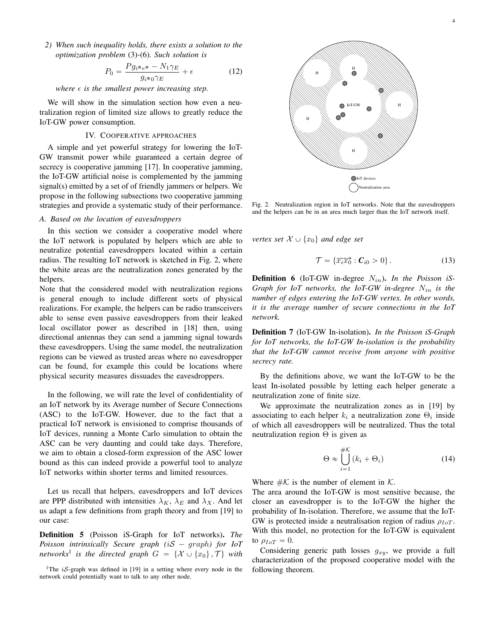*2) When such inequality holds, there exists a solution to the optimization problem* (3)*-*(6)*. Such solution is*

$$
P_0 = \frac{Pg_{i^*e^*} - N_1\gamma_E}{g_{i^*0}\gamma_E} + \epsilon
$$
 (12)

*where*  $\epsilon$  *is the smallest power increasing step.* 

We will show in the simulation section how even a neutralization region of limited size allows to greatly reduce the IoT-GW power consumption.

#### IV. COOPERATIVE APPROACHES

A simple and yet powerful strategy for lowering the IoT-GW transmit power while guaranteed a certain degree of secrecy is cooperative jamming [17]. In cooperative jamming, the IoT-GW artificial noise is complemented by the jamming signal(s) emitted by a set of of friendly jammers or helpers. We propose in the following subsections two cooperative jamming strategies and provide a systematic study of their performance.

#### *A. Based on the location of eavesdroppers*

In this section we consider a cooperative model where the IoT network is populated by helpers which are able to neutralize potential eavesdroppers located within a certain radius. The resulting IoT network is sketched in Fig. 2, where the white areas are the neutralization zones generated by the helpers.

Note that the considered model with neutralization regions is general enough to include different sorts of physical realizations. For example, the helpers can be radio transceivers able to sense even passive eavesdroppers from their leaked local oscillator power as described in [18] then, using directional antennas they can send a jamming signal towards these eavesdroppers. Using the same model, the neutralization regions can be viewed as trusted areas where no eavesdropper can be found, for example this could be locations where physical security measures dissuades the eavesdroppers.

In the following, we will rate the level of confidentiality of an IoT network by its Average number of Secure Connections (ASC) to the IoT-GW. However, due to the fact that a practical IoT network is envisioned to comprise thousands of IoT devices, running a Monte Carlo simulation to obtain the ASC can be very daunting and could take days. Therefore, we aim to obtain a closed-form expression of the ASC lower bound as this can indeed provide a powerful tool to analyze IoT networks within shorter terms and limited resources.

Let us recall that helpers, eavesdroppers and IoT devices are PPP distributed with intensities  $\lambda_K$ ,  $\lambda_E$  and  $\lambda_X$ . And let us adapt a few definitions from graph theory and from [19] to our case:

Definition 5 (Poisson iS-Graph for IoT networks). *The Poisson intrinsically Secure graph (iS – graph) for IoT* networks<sup>1</sup> is the directed graph  $G = \{X \cup \{x_0\} , \mathcal{T}\}\)$  with

<sup>1</sup>The *iS*-graph was defined in [19] in a setting where every node in the network could potentially want to talk to any other node.



Fig. 2. Neutralization region in IoT networks. Note that the eavesdroppers and the helpers can be in an area much larger than the IoT network itself.

*vertex set*  $\mathcal{X} \cup \{x_0\}$  *and edge set* 

$$
\mathcal{T} = \{ \overrightarrow{x_i x_0} : \mathcal{C}_{i0} > 0 \}.
$$
 (13)

Definition 6 (IoT-GW in-degree Nin). *In the Poisson iS-Graph for IoT networks, the IoT-GW in-degree* Nin *is the number of edges entering the IoT-GW vertex. In other words, it is the average number of secure connections in the IoT network.*

Definition 7 (IoT-GW In-isolation). *In the Poisson iS-Graph for IoT networks, the IoT-GW In-isolation is the probability that the IoT-GW cannot receive from anyone with positive secrecy rate.*

By the definitions above, we want the IoT-GW to be the least In-isolated possible by letting each helper generate a neutralization zone of finite size.

We approximate the neutralization zones as in [19] by associating to each helper  $k_i$  a neutralization zone  $\Theta_i$  inside of which all eavesdroppers will be neutralized. Thus the total neutralization region  $\Theta$  is given as

$$
\Theta \approx \bigcup_{i=1}^{\#K} (k_i + \Theta_i)
$$
 (14)

Where  $\#K$  is the number of element in K.

The area around the IoT-GW is most sensitive because, the closer an eavesdropper is to the IoT-GW the higher the probability of In-isolation. Therefore, we assume that the IoT-GW is protected inside a neutralisation region of radius  $\rho_{IoT}$ . With this model, no protection for the IoT-GW is equivalent to  $\rho_{IoT} = 0$ .

Considering generic path losses  $g_{xy}$ , we provide a full characterization of the proposed cooperative model with the following theorem.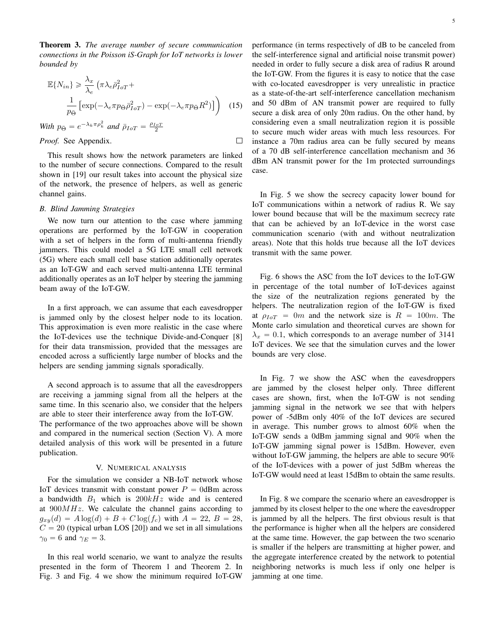Theorem 3. *The average number of secure communication connections in the Poisson iS-Graph for IoT networks is lower bounded by*

$$
\mathbb{E}\{N_{in}\} \geq \frac{\lambda_x}{\lambda_e} \left(\pi \lambda_e \bar{\rho}_{IoT}^2 + \frac{1}{p_{\Theta}} \left[\exp(-\lambda_e \pi p_{\Theta} \bar{\rho}_{IoT}^2) - \exp(-\lambda_e \pi p_{\Theta} R^2)\right]\right)
$$
 (15)  
With  $p_{\Theta} = e^{-\lambda_k \pi \rho_k^2}$  and  $\bar{\rho}_{IoT} = \frac{\rho_{IoT}}{2}$ 

 $\Box$ 

*Proof.* See Appendix.

This result shows how the network parameters are linked to the number of secure connections. Compared to the result shown in [19] our result takes into account the physical size of the network, the presence of helpers, as well as generic channel gains.

## *B. Blind Jamming Strategies*

We now turn our attention to the case where jamming operations are performed by the IoT-GW in cooperation with a set of helpers in the form of multi-antenna friendly jammers. This could model a 5G LTE small cell network (5G) where each small cell base station additionally operates as an IoT-GW and each served multi-antenna LTE terminal additionally operates as an IoT helper by steering the jamming beam away of the IoT-GW.

In a first approach, we can assume that each eavesdropper is jammed only by the closest helper node to its location. This approximation is even more realistic in the case where the IoT-devices use the technique Divide-and-Conquer [8] for their data transmission, provided that the messages are encoded across a sufficiently large number of blocks and the helpers are sending jamming signals sporadically.

A second approach is to assume that all the eavesdroppers are receiving a jamming signal from all the helpers at the same time. In this scenario also, we consider that the helpers are able to steer their interference away from the IoT-GW.

The performance of the two approaches above will be shown and compared in the numerical section (Section V). A more detailed analysis of this work will be presented in a future publication.

# V. NUMERICAL ANALYSIS

For the simulation we consider a NB-IoT network whose IoT devices transmit with constant power  $P = 0$ dBm across a bandwidth  $B_1$  which is  $200kHz$  wide and is centered at  $900MHz$ . We calculate the channel gains according to  $g_{xy}(d) = A \log(d) + B + C \log(f_c)$  with  $A = 22, B = 28,$  $C = 20$  (typical urban LOS [20]) and we set in all simulations  $\gamma_0 = 6$  and  $\gamma_E = 3$ .

In this real world scenario, we want to analyze the results presented in the form of Theorem 1 and Theorem 2. In Fig. 3 and Fig. 4 we show the minimum required IoT-GW performance (in terms respectively of dB to be canceled from the self-interference signal and artificial noise transmit power) needed in order to fully secure a disk area of radius R around the IoT-GW. From the figures it is easy to notice that the case with co-located eavesdropper is very unrealistic in practice as a state-of-the-art self-interference cancellation mechanism and 50 dBm of AN transmit power are required to fully secure a disk area of only 20m radius. On the other hand, by considering even a small neutralization region it is possible to secure much wider areas with much less resources. For instance a 70m radius area can be fully secured by means of a 70 dB self-interference cancellation mechanism and 36 dBm AN transmit power for the 1m protected surroundings case.

In Fig. 5 we show the secrecy capacity lower bound for IoT communications within a network of radius R. We say lower bound because that will be the maximum secrecy rate that can be achieved by an IoT-device in the worst case communication scenario (with and without neutralization areas). Note that this holds true because all the IoT devices transmit with the same power.

Fig. 6 shows the ASC from the IoT devices to the IoT-GW in percentage of the total number of IoT-devices against the size of the neutralization regions generated by the helpers. The neutralization region of the IoT-GW is fixed at  $\rho_{IoT} = 0m$  and the network size is  $R = 100m$ . The Monte carlo simulation and theoretical curves are shown for  $\lambda_x = 0.1$ , which corresponds to an average number of 3141 IoT devices. We see that the simulation curves and the lower bounds are very close.

In Fig. 7 we show the ASC when the eavesdroppers are jammed by the closest helper only. Three different cases are shown, first, when the IoT-GW is not sending jamming signal in the network we see that with helpers power of -5dBm only 40% of the IoT devices are secured in average. This number grows to almost 60% when the IoT-GW sends a 0dBm jamming signal and 90% when the IoT-GW jamming signal power is 15dBm. However, even without IoT-GW jamming, the helpers are able to secure 90% of the IoT-devices with a power of just 5dBm whereas the IoT-GW would need at least 15dBm to obtain the same results.

In Fig. 8 we compare the scenario where an eavesdropper is jammed by its closest helper to the one where the eavesdropper is jammed by all the helpers. The first obvious result is that the performance is higher when all the helpers are considered at the same time. However, the gap between the two scenario is smaller if the helpers are transmitting at higher power, and the aggregate interference created by the network to potential neighboring networks is much less if only one helper is jamming at one time.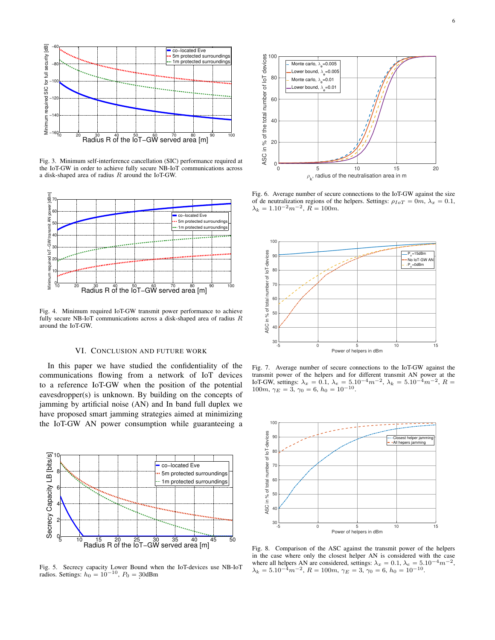

Fig. 3. Minimum self-interference cancellation (SIC) performance required at the IoT-GW in order to achieve fully secure NB-IoT communications across a disk-shaped area of radius R around the IoT-GW.



Fig. 4. Minimum required IoT-GW transmit power performance to achieve fully secure NB-IoT communications across a disk-shaped area of radius R around the IoT-GW.

# VI. CONCLUSION AND FUTURE WORK

In this paper we have studied the confidentiality of the communications flowing from a network of IoT devices to a reference IoT-GW when the position of the potential eavesdropper(s) is unknown. By building on the concepts of jamming by artificial noise (AN) and In band full duplex we have proposed smart jamming strategies aimed at minimizing the IoT-GW AN power consumption while guaranteeing a



Fig. 5. Secrecy capacity Lower Bound when the IoT-devices use NB-IoT radios. Settings:  $h_0 = 10^{-10}$ ,  $P_0 = 30$ dBm



Fig. 6. Average number of secure connections to the IoT-GW against the size of de neutralization regions of the helpers. Settings:  $\rho_{IoT} = 0m$ ,  $\lambda_x = 0.1$ ,  $\lambda_k = 1.10^{-2} m^{-2}, \ \tilde{R} = 100m.$ 



Fig. 7. Average number of secure connections to the IoT-GW against the transmit power of the helpers and for different transmit AN power at the IoT-GW, settings:  $\lambda_x = 0.1$ ,  $\lambda_e = 5.10^{-4} m^{-2}$ ,  $\lambda_k = 5.10^{-4} m^{-2}$ ,  $R = 100 m$ ,  $\gamma_E = 3$ ,  $\gamma_0 = 6$ ,  $h_0 = 10^{-10}$ .



Fig. 8. Comparison of the ASC against the transmit power of the helpers in the case where only the closest helper AN is considered with the case where all helpers AN are considered, settings:  $\lambda_x = 0.1$ ,  $\lambda_e = 5.10^{-4} m^{-2}$ ,  $\lambda_k = 5.10^{-4} m^{-2}, R = 100m, \gamma_E = 3, \gamma_0 = 6, h_0 = 10^{-10}.$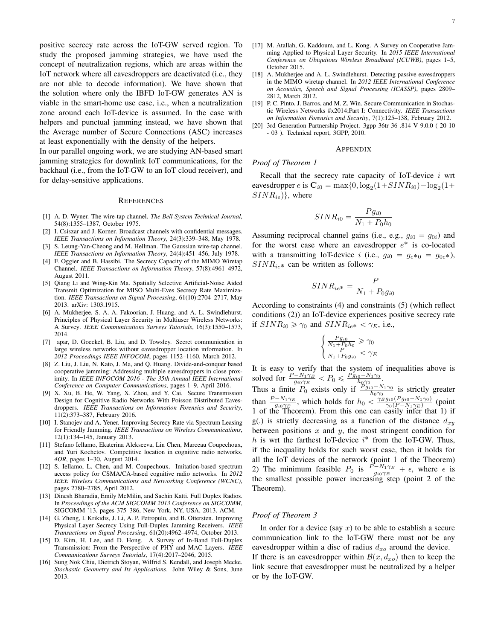positive secrecy rate across the IoT-GW served region. To study the proposed jamming strategies, we have used the concept of neutralization regions, which are areas within the IoT network where all eavesdroppers are deactivated (i.e., they are not able to decode information). We have shown that the solution where only the IBFD IoT-GW generates AN is viable in the smart-home use case, i.e., when a neutralization zone around each IoT-device is assumed. In the case with helpers and punctual jamming instead, we have shown that the Average number of Secure Connections (ASC) increases at least exponentially with the density of the helpers.

In our parallel ongoing work, we are studying AN-based smart jamming strategies for downlink IoT communications, for the backhaul (i.e., from the IoT-GW to an IoT cloud receiver), and for delay-sensitive applications.

#### **REFERENCES**

- [1] A. D. Wyner. The wire-tap channel. *The Bell System Technical Journal*, 54(8):1355–1387, October 1975.
- [2] I. Csiszar and J. Korner. Broadcast channels with confidential messages. *IEEE Transactions on Information Theory*, 24(3):339–348, May 1978.
- [3] S. Leung-Yan-Cheong and M. Hellman. The Gaussian wire-tap channel. *IEEE Transactions on Information Theory*, 24(4):451–456, July 1978.
- [4] F. Oggier and B. Hassibi. The Secrecy Capacity of the MIMO Wiretap Channel. *IEEE Transactions on Information Theory*, 57(8):4961–4972, August 2011.
- [5] Qiang Li and Wing-Kin Ma. Spatially Selective Artificial-Noise Aided Transmit Optimization for MISO Multi-Eves Secrecy Rate Maximization. *IEEE Transactions on Signal Processing*, 61(10):2704–2717, May 2013. arXiv: 1303.1915.
- [6] A. Mukherjee, S. A. A. Fakoorian, J. Huang, and A. L. Swindlehurst. Principles of Physical Layer Security in Multiuser Wireless Networks: A Survey. *IEEE Communications Surveys Tutorials*, 16(3):1550–1573, 2014.
- [7] apar, D. Goeckel, B. Liu, and D. Towsley. Secret communication in large wireless networks without eavesdropper location information. In *2012 Proceedings IEEE INFOCOM*, pages 1152–1160, March 2012.
- [8] Z. Liu, J. Liu, N. Kato, J. Ma, and Q. Huang. Divide-and-conquer based cooperative jamming: Addressing multiple eavesdroppers in close proximity. In *IEEE INFOCOM 2016 - The 35th Annual IEEE International Conference on Computer Communications*, pages 1–9, April 2016.
- [9] X. Xu, B. He, W. Yang, X. Zhou, and Y. Cai. Secure Transmission Design for Cognitive Radio Networks With Poisson Distributed Eavesdroppers. *IEEE Transactions on Information Forensics and Security*, 11(2):373–387, February 2016.
- [10] I. Stanojev and A. Yener. Improving Secrecy Rate via Spectrum Leasing for Friendly Jamming. *IEEE Transactions on Wireless Communications*, 12(1):134–145, January 2013.
- [11] Stefano Iellamo, Ekaterina Alekseeva, Lin Chen, Marceau Coupechoux, and Yuri Kochetov. Competitive location in cognitive radio networks. *4OR*, pages 1–30, August 2014.
- [12] S. Iellamo, L. Chen, and M. Coupechoux. Imitation-based spectrum access policy for CSMA/CA-based cognitive radio networks. In *2012 IEEE Wireless Communications and Networking Conference (WCNC)*, pages 2780–2785, April 2012.
- [13] Dinesh Bharadia, Emily McMilin, and Sachin Katti. Full Duplex Radios. In *Proceedings of the ACM SIGCOMM 2013 Conference on SIGCOMM*, SIGCOMM '13, pages 375–386, New York, NY, USA, 2013. ACM.
- [14] G. Zheng, I. Krikidis, J. Li, A. P. Petropulu, and B. Ottersten. Improving Physical Layer Secrecy Using Full-Duplex Jamming Receivers. *IEEE Transactions on Signal Processing*, 61(20):4962–4974, October 2013.
- [15] D. Kim, H. Lee, and D. Hong. A Survey of In-Band Full-Duplex Transmission: From the Perspective of PHY and MAC Layers. *IEEE Communications Surveys Tutorials*, 17(4):2017–2046, 2015.
- [16] Sung Nok Chiu, Dietrich Stoyan, Wilfrid S. Kendall, and Joseph Mecke. *Stochastic Geometry and Its Applications*. John Wiley & Sons, June 2013.
- [17] M. Atallah, G. Kaddoum, and L. Kong. A Survey on Cooperative Jamming Applied to Physical Layer Security. In *2015 IEEE International Conference on Ubiquitous Wireless Broadband (ICUWB)*, pages 1–5, October 2015.
- [18] A. Mukherjee and A. L. Swindlehurst. Detecting passive eavesdroppers in the MIMO wiretap channel. In *2012 IEEE International Conference on Acoustics, Speech and Signal Processing (ICASSP)*, pages 2809– 2812, March 2012.
- [19] P. C. Pinto, J. Barros, and M. Z. Win. Secure Communication in Stochastic Wireless Networks #x2014;Part I: Connectivity. *IEEE Transactions on Information Forensics and Security*, 7(1):125–138, February 2012.
- [20] 3rd Generation Partnership Project. 3gpp 36tr 36 .814 V 9.0.0 ( 20 10 - 03 ). Technical report, 3GPP, 2010.

#### APPENDIX

### *Proof of Theorem 1*

Recall that the secrecy rate capacity of IoT-device  $i$  wrt eavesdropper  $e$  is  $\mathbf{C}_{i0} = \max\{0, \log_2(1 + SINR_{i0}) - \log_2(1 +$  $SINR_{ie}$ }, where

$$
SINR_{i0} = \frac{Pg_{i0}}{N_1 + P_0h_0}
$$

Assuming reciprocal channel gains (i.e., e.g.,  $g_{i0} = g_{0i}$ ) and for the worst case where an eavesdropper  $e^*$  is co-located with a transmitting IoT-device i (i.e.,  $g_{i0} = g_{e*0} = g_{0e*}$ ),  $SINR_{ie*}$  can be written as follows:

$$
SINR_{ie*} = \frac{P}{N_1 + P_0 g_{i0}}
$$

According to constraints (4) and constraints (5) (which reflect conditions (2)) an IoT-device experiences positive secrecy rate if  $SINR_{i0} \ge \gamma_0$  and  $SINR_{ie*} < \gamma_E$ , i.e.,

$$
\begin{cases} \frac{Pg_{i0}}{N_1 + P_0 h_0} \ge \gamma_0\\ \frac{P}{N_1 + P_0 g_{i0}} < \gamma_E \end{cases}
$$

It is easy to verify that the system of inequalities above is solved for  $\frac{P - N_1 \gamma_E}{g_{i0} \gamma_E} < P_0 \leqslant \frac{P g_{i0} - N_1 \gamma_0}{h_{\mathcal{Q}} \gamma_0}$ .

Thus a finite  $P_0$  exists only if  $\frac{P g_{i0} - N_1 \gamma_0}{h_0 \gamma_0}$  is strictly greater than  $\frac{P-N_1\gamma_E}{g_{i0}\gamma_E}$ , which holds for  $h_0 < \frac{\gamma_E g_{i0}(P g_{i0} - N_1\gamma_0)}{\gamma_0 (P-N_1\gamma_E)}$  $\frac{g_{i0}(Pg_{i0} - N_1\gamma_0)}{\gamma_0(P - N_1\gamma_E)}$  (point 1 of the Theorem). From this one can easily infer that 1) if g(.) is strictly decreasing as a function of the distance  $d_{xy}$ between positions  $x$  and  $y$ , the most stringent condition for h is wrt the farthest IoT-device  $i^*$  from the IoT-GW. Thus, if the inequality holds for such worst case, then it holds for all the IoT devices of the network (point 1 of the Theorem) 2) The minimum feasible  $P_0$  is  $\frac{P - N_1 \gamma_E}{g_{i0} \gamma_E} + \epsilon$ , where  $\epsilon$  is the smallest possible power increasing step (point 2 of the Theorem).

## *Proof of Theorem 3*

In order for a device (say x) to be able to establish a secure communication link to the IoT-GW there must not be any eavesdropper within a disc of radius  $d_{xo}$  around the device. If there is an eavesdropper within  $\mathcal{B}(x, d_{xo})$  then to keep the link secure that eavesdropper must be neutralized by a helper or by the IoT-GW.